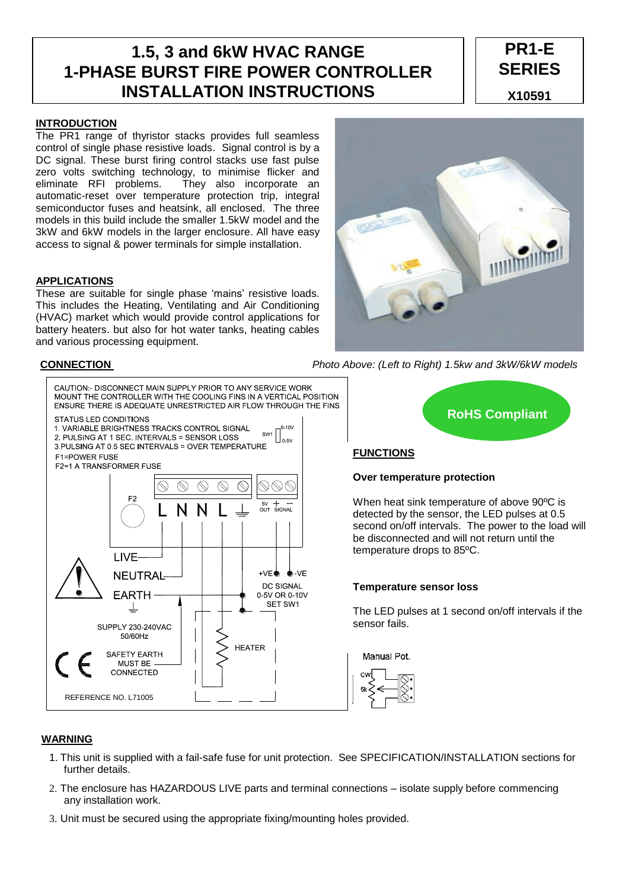# **1.5, 3 and 6kW HVAC RANGE 1-PHASE BURST FIRE POWER CONTROLLER INSTALLATION INSTRUCTIONS**

# **PR1-E SERIES X10591**

# **INTRODUCTION**

The PR1 range of thyristor stacks provides full seamless control of single phase resistive loads. Signal control is by a DC signal. These burst firing control stacks use fast pulse zero volts switching technology, to minimise flicker and eliminate RFI problems. They also incorporate an They also incorporate an automatic-reset over temperature protection trip, integral semiconductor fuses and heatsink, all enclosed. The three models in this build include the smaller 1.5kW model and the 3kW and 6kW models in the larger enclosure. All have easy access to signal & power terminals for simple installation.

# **APPLICATIONS**

These are suitable for single phase 'mains' resistive loads. This includes the Heating, Ventilating and Air Conditioning (HVAC) market which would provide control applications for battery heaters. but also for hot water tanks, heating cables and various processing equipment.





**CONNECTION** *Photo Above: (Left to Right) 1.5kw and 3kW/6kW models*



# **Over temperature protection**

When heat sink temperature of above 90ºC is detected by the sensor, the LED pulses at 0.5 second on/off intervals. The power to the load will be disconnected and will not return until the temperature drops to 85ºC.

# **Temperature sensor loss**

The LED pulses at 1 second on/off intervals if the sensor fails.

Manual Pot.



# **WARNING**

- 1. This unit is supplied with a fail-safe fuse for unit protection. See SPECIFICATION/INSTALLATION sections for further details.
- 2. The enclosure has HAZARDOUS LIVE parts and terminal connections isolate supply before commencing any installation work.
- 3. Unit must be secured using the appropriate fixing/mounting holes provided.